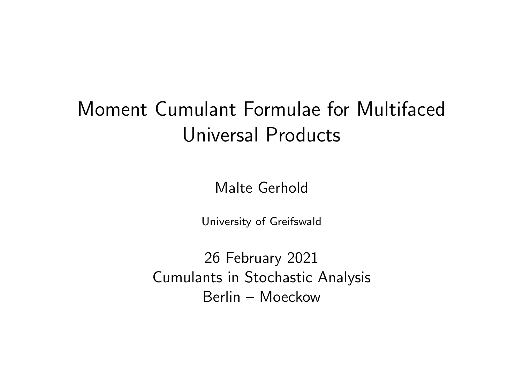# <span id="page-0-1"></span><span id="page-0-0"></span>Moment Cumulant Formulae for Multifaced Universal Products

Malte Gerhold

University of Greifswald

26 February 2021 Cumulants in Stochastic Analysis Berlin – Moeckow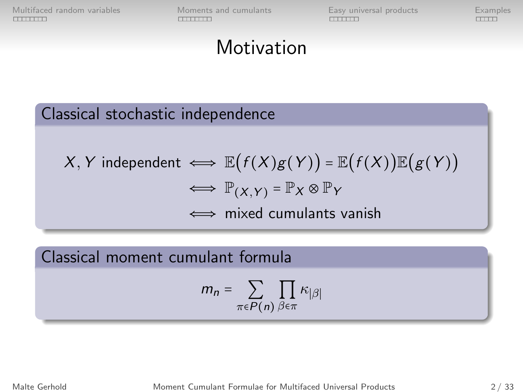[Multifaced random variables](#page-13-0) [Moments and cumulants](#page-0-0) [Easy universal products](#page-0-0) [Examples](#page-0-0)<br>
EXAMPLE EXAMPLES EXAMPLES EXAMPLES EXAMPLES EXAMPLES EXAMPLES EXAMPLES EXAMPLES EXAMPLES EXAMPLES EXAMPLES EXAMPLES EXAMPLES EXAMPLES EXAM

### **Motivation**

#### Classical stochastic independence

$$
X, Y \text{ independent} \iff \mathbb{E}\big(f(X)g(Y)\big) = \mathbb{E}\big(f(X)\big)\mathbb{E}\big(g(Y)\big) \\ \iff \mathbb{P}_{(X,Y)} = \mathbb{P}_{X} \otimes \mathbb{P}_{Y} \\ \iff \text{mixed cumulants vanish}
$$

Classical moment cumulant formula

$$
m_n = \sum_{\pi \in P(n)} \prod_{\beta \in \pi} \kappa_{|\beta|}
$$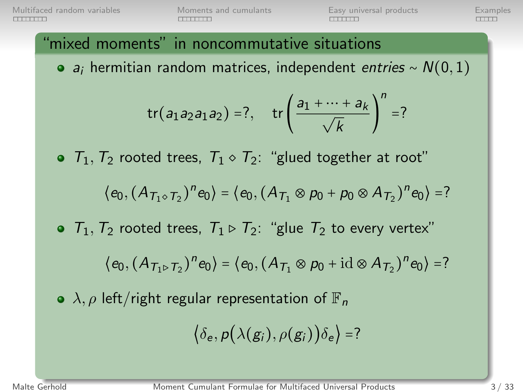[Multifaced random variables](#page-13-0) [Moments and cumulants](#page-0-0) [Easy universal products](#page-0-0) [Examples](#page-0-0)<br>
EXAMPLES EXAMPLES EXAMPLES EXAMPLES EXAMPLES EXAMPLES EXAMPLES EXAMPLES EXAMPLES EXAMPLES EXAMPLES EXAMPLES E

#### "mixed moments" in noncommutative situations

• a<sub>i</sub> hermitian random matrices, independent entries ~  $N(0, 1)$ 

$$
tr(a_1 a_2 a_1 a_2) = ?
$$
,  $tr\left(\frac{a_1 + \dots + a_k}{\sqrt{k}}\right)^n = ?$ 

 $\bullet$   $T_1$ ,  $T_2$  rooted trees,  $T_1 \diamond T_2$ : "glued together at root"

$$
\langle e_0, (A_{\mathcal{T}_1 \circ \mathcal{T}_2})^n e_0 \rangle = \langle e_0, (A_{\mathcal{T}_1} \otimes p_0 + p_0 \otimes A_{\mathcal{T}_2})^n e_0 \rangle = ?
$$

 $\bullet$   $T_1, T_2$  rooted trees,  $T_1 \triangleright T_2$ : "glue  $T_2$  to every vertex"

$$
\langle e_0, (A_{\mathcal{T}_1 \triangleright \mathcal{T}_2})^n e_0 \rangle = \langle e_0, (A_{\mathcal{T}_1} \otimes p_0 + \mathrm{id} \otimes A_{\mathcal{T}_2})^n e_0 \rangle = ?
$$

 $\bullet \lambda$ ,  $\rho$  left/right regular representation of  $\mathbb{F}_n$ 

$$
\big\langle \delta_e, p\big(\lambda(g_i), \rho(g_i)\big)\delta_e \big\rangle = ?
$$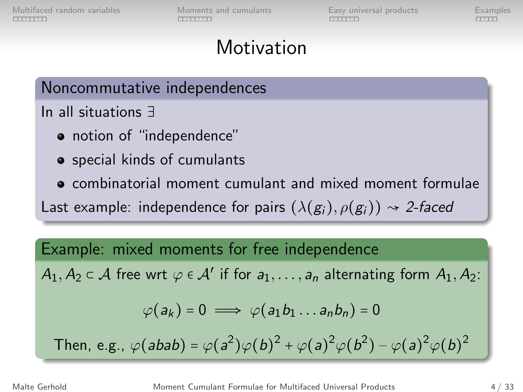### **Motivation**

Noncommutative independences

In all situations <sup>∃</sup>

- notion of "independence"
- special kinds of cumulants
- combinatorial moment cumulant and mixed moment formulae

Last example: independence for pairs  $(\lambda(g_i), \rho(g_i)) \rightsquigarrow 2$ -faced

#### Example: mixed moments for free independence

 $A_1, A_2 \subset A$  free wrt  $\varphi \in A'$  if for  $a_1, \ldots, a_n$  alternating form  $A_1, A_2$ :

$$
\varphi(a_k)=0\implies \varphi(a_1b_1\ldots a_nb_n)=0
$$

Then, e.g., 
$$
\varphi(abab) = \varphi(a^2)\varphi(b)^2 + \varphi(a)^2\varphi(b^2) - \varphi(a)^2\varphi(b)^2
$$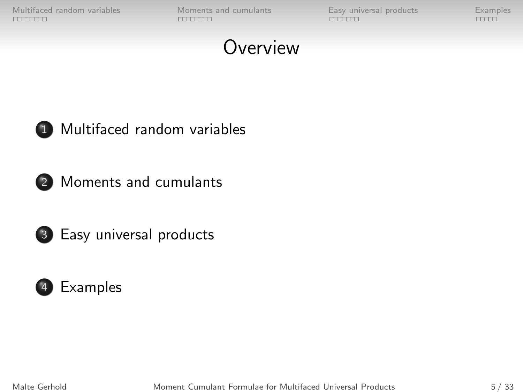[Multifaced random variables](#page-13-0) [Moments and cumulants](#page-0-0) [Easy universal products](#page-0-0) [Examples](#page-0-0)<br>
EXAMPLE EXAMPLES EXAMPLES EXAMPLES EXAMPLES EXAMPLES EXAMPLES EXAMPLES EXAMPLES EXAMPLES EXAMPLES EXAMPLES EXAMPLES EXAMPLES EXAMPLES EXAM

# **Overview**



1 [Multifaced random variables](#page-13-0)



2 [Moments and cumulants](#page-0-0)



3 [Easy universal products](#page-0-0)



Malte Gerhold **Moment Cumulant Formulae for Multifaced Universal Products** 5 / 33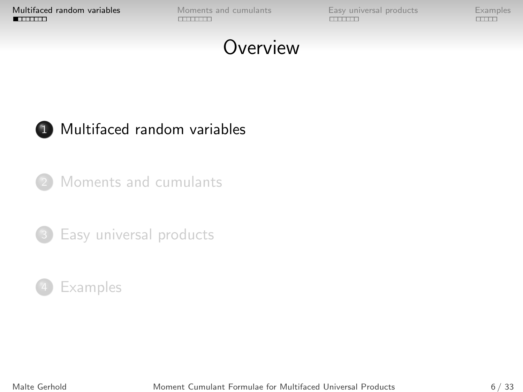**[Multifaced random variables](#page-13-0)** [Moments and cumulants](#page-0-0) [Easy universal products](#page-0-0) [Examples](#page-0-0)<br> **EXAMPLE CONSTRANTS EXAMPLES** 

# **Overview**



#### 1 [Multifaced random variables](#page-13-0)

[Moments and cumulants](#page-0-0)



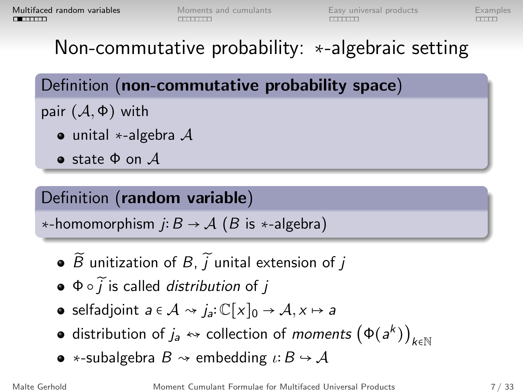# Non-commutative probability: <sup>∗</sup>-algebraic setting

Definition (non-commutative probability space)

- pair  $(\mathcal{A}, \Phi)$  with
	- unital  $\ast$ -algebra  $\mathcal A$
	- **•** state  $\Phi$  on  $\mathcal{A}$

### Definition (random variable)

 $\star$ -homomorphism *j*:  $B \to A$  (*B* is  $\star$ -algebra)

- $\bullet$   $\widetilde{B}$  unitization of  $B$ ,  $\widetilde{I}$  unital extension of  $I$
- $\bullet$   $\Phi \circ \tilde{i}$  is called *distribution* of j
- selfadjoint  $a \in \mathcal{A} \rightarrow j_a: \mathbb{C}[x]_0 \rightarrow \mathcal{A}, x \mapsto a$
- distribution of  $j_a \leftrightarrow$  collection of moments  $(\Phi(a^k))_{k \in \mathbb{N}}$
- ∗-subalgebra  $B \rightsquigarrow$  embedding  $\iota: B \hookrightarrow A$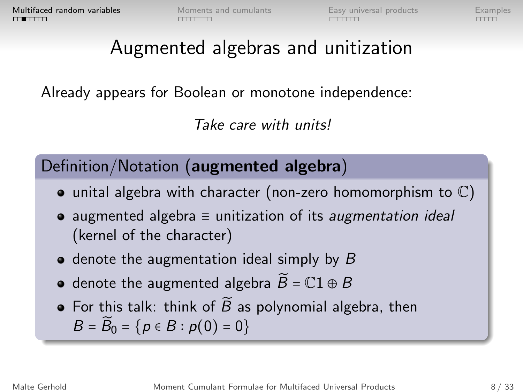# Augmented algebras and unitization

Already appears for Boolean or monotone independence:

Take care with units!

Definition/Notation (augmented algebra)

- $\bullet$  unital algebra with character (non-zero homomorphism to  $\mathbb{C}$ )
- augmented algebra  $\equiv$  unitization of its *augmentation ideal* (kernel of the character)
- $\bullet$  denote the augmentation ideal simply by B
- denote the augmented algebra  $\widetilde{B} = \mathbb{C}1 \oplus B$
- For this talk: think of  $\widetilde{B}$  as polynomial algebra, then  $B = \widetilde{B}_0 = \{p \in B : p(0) = 0\}$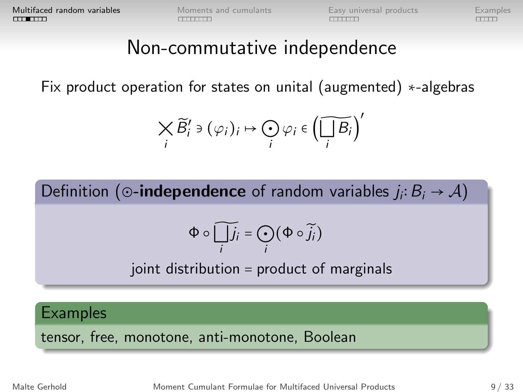# Non-commutative independence

Fix product operation for states on unital (augmented) <sup>∗</sup>-algebras

$$
\bigtimes_i \widetilde{B}'_i \ni (\varphi_i)_i \mapsto \bigodot_i \varphi_i \in \left(\widetilde{\bigsqcup_i B_i}\right)'
$$

Definition (⊙-**independence** of random variables  $j_i: B_i \rightarrow A$ )

$$
\Phi\circ\widetilde{\bigsqcup_i j_i}=\bigodot_i(\Phi\circ\widetilde{j_i})
$$

joint distribution <sup>=</sup> product of marginals

**Examples** 

tensor, free, monotone, anti-monotone, Boolean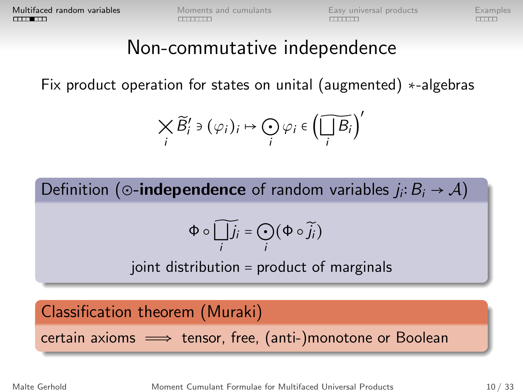### Non-commutative independence

Fix product operation for states on unital (augmented) <sup>∗</sup>-algebras

$$
\bigtimes_i \widetilde{B}'_i \ni (\varphi_i)_i \mapsto \bigodot_i \varphi_i \in \left(\widetilde{\bigsqcup_i B_i}\right)'
$$

Definition (⊙-**independence** of random variables  $j_i: B_i \rightarrow A$ )

$$
\Phi\circ\widetilde{\bigsqcup_i j_i}=\bigodot_i(\Phi\circ\widetilde{j_i})
$$

joint distribution <sup>=</sup> product of marginals

#### Classification theorem (Muraki)

 $certain axioms \implies tensor, free, (anti-)monotone or Boolean$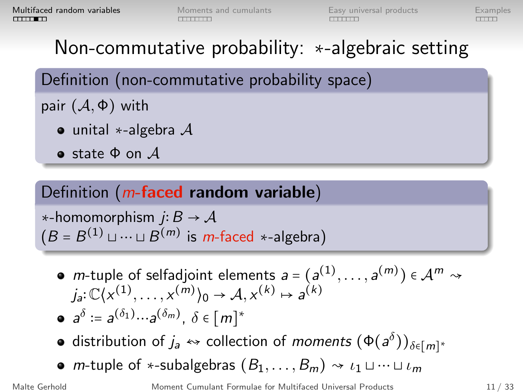# Non-commutative probability: <sup>∗</sup>-algebraic setting

Definition (non-commutative probability space)

pair  $(\mathcal{A}, \Phi)$  with

- unital  $\ast$ -algebra  $\mathcal A$
- **•** state  $\Phi$  on  $\mathcal{A}$

#### Definition  $(m$ -faced random variable)

 $\ast$ -homomorphism *j*: *B* → *A*  $(B = B^{(1)} \sqcup \cdots \sqcup B^{(m)}$  is *m*-faced \*-algebra)

- *m*-tuple of selfadjoint elements  $a = (a^{(1)}, \dots, a^{(m)}) \in \mathcal{A}^m \rightsquigarrow$  $j_a: \mathbb{C}\langle x^{(1)}, \ldots, x^{(m)}\rangle_0 \to \mathcal{A}, x^{(k)} \mapsto a^{(k)}$  $a^{\delta}$  :=  $a^{(\delta_1)} \cdots a^{(\delta_m)}$ ,  $\delta \in [m]^*$
- distribution of  $j_a \leftrightarrow$  collection of *moments*  $(\Phi(a^\delta))_{\delta \in [m]^*}$
- m-tuple of \*-subalgebras  $(B_1, \ldots, B_m) \rightsquigarrow \iota_1 \sqcup \cdots \sqcup \iota_m$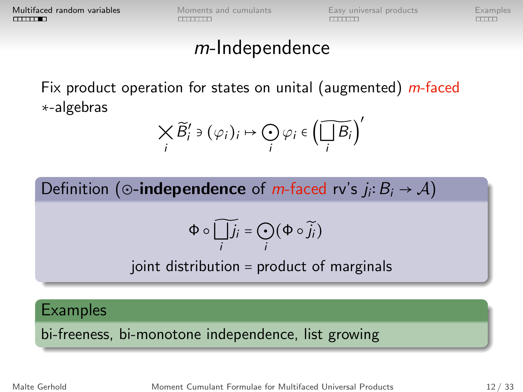### m-Independence

Fix product operation for states on unital (augmented)  $m$ -faced <sup>∗</sup>-algebras

$$
\bigtimes_i \widetilde{B}'_i \ni (\varphi_i)_i \mapsto \bigodot_i \varphi_i \in \left(\widetilde{\bigsqcup_i B_i}\right)'
$$

Definition (⊙-**independence** of *m*-faced rv's  $j_i: B_i \rightarrow A$ )

$$
\Phi \circ \widetilde{\bigcup_i j_i} = \bigodot_i (\Phi \circ \widetilde{j_i})
$$

joint distribution <sup>=</sup> product of marginals

**Examples** 

bi-freeness, bi-monotone independence, list growing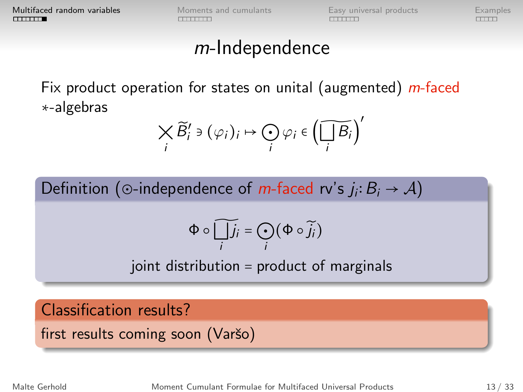### m-Independence

Fix product operation for states on unital (augmented) *m*-faced <sup>∗</sup>-algebras

$$
\bigtimes_i \widetilde{B}'_i \ni (\varphi_i)_i \mapsto \bigodot_i \varphi_i \in \left(\widetilde{\bigsqcup_i B_i}\right)'
$$

Definition (⊙-independence of *m*-faced rv's  $j_i: B_i \to A$ )

$$
\Phi\circ\widetilde{\bigsqcup_i j_i}=\bigodot_i(\Phi\circ\widetilde{j_i})
$$

joint distribution <sup>=</sup> product of marginals

#### Classification results?

first results coming soon (Varšo)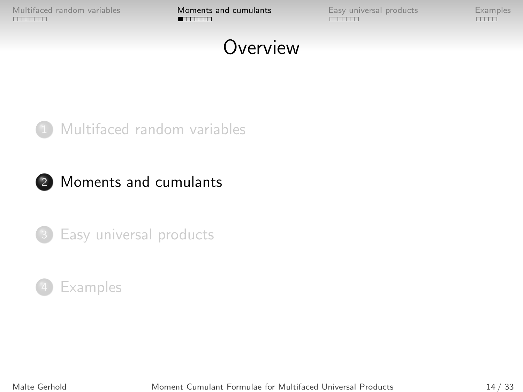<span id="page-13-0"></span>[Multifaced random variables](#page-13-0) **[Moments and cumulants](#page-0-0)** [Easy universal products](#page-0-0) [Examples](#page-0-0)<br> **Moments and cumulants** Examples<br>
Examples Examples

# **Overview**



#### [Multifaced random variables](#page-13-0)





[Easy universal products](#page-0-0)



Malte Gerhold [Moment Cumulant Formulae for Multifaced Universal Products](#page-0-1) 14 / 33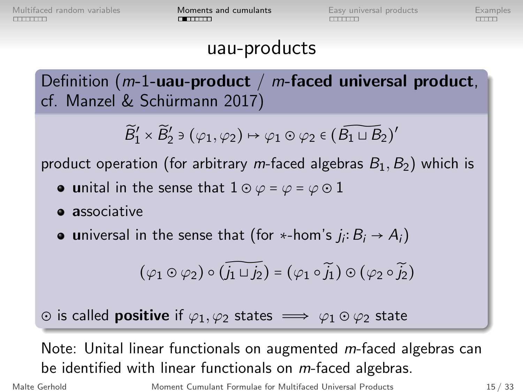### uau-products

Definition ( $m-1$ -uau-product /  $m$ -faced universal product, cf. Manzel & Schürmann 2017)

 $\widetilde{B}'_1 \times \widetilde{B}'_2$   $\ni (\varphi_1, \varphi_2) \mapsto \varphi_1 \odot \varphi_2 \in (\widetilde{B_1 \sqcup B_2})'$ 

product operation (for arbitrary *m*-faced algebras  $B_1, B_2$ ) which is

- unital in the sense that  $1 \odot \varphi = \varphi = \varphi \odot 1$
- **a** associative
- universal in the sense that (for ∗-hom's  $j_i: B_i \rightarrow A_i$ )

$$
\left(\varphi_1\odot\varphi_2\right)\circ\widetilde{\left(j_1\sqcup j_2\right)}=\left(\varphi_1\circ\widetilde{j_1}\right)\odot\left(\varphi_2\circ\widetilde{j_2}\right)
$$

 $\circ$  is called **positive** if  $\varphi_1, \varphi_2$  states  $\implies \varphi_1 \circ \varphi_2$  state

Note: Unital linear functionals on augmented m-faced algebras can be identified with linear functionals on *m*-faced algebras.

Malte Gerhold [Moment Cumulant Formulae for Multifaced Universal Products](#page-0-1) 15 / 33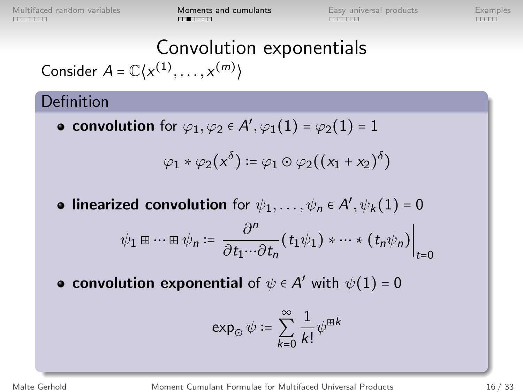[Multifaced random variables](#page-13-0) **[Moments and cumulants](#page-0-0) [Examples](#page-0-0)** Examples<br>
THE CONSIDER THE CONSIDERATION CONSIDERATION CONTINUES

# Convolution exponentials

Consider  $A = \mathbb{C}\langle x^{(1)}, \ldots, x^{(m)}\rangle$ 

#### Definition

convolution for  $\varphi_1, \varphi_2 \in A', \varphi_1(1) = \varphi_2(1) = 1$ 

$$
\varphi_1 * \varphi_2(x^\delta) \coloneqq \varphi_1 \odot \varphi_2((x_1 + x_2)^\delta)
$$

**linearized convolution** for  $\psi_1, \dots, \psi_n \in A', \psi_k(1) = 0$ 

$$
\psi_1 \boxplus \cdots \boxplus \psi_n := \frac{\partial^n}{\partial t_1 \cdots \partial t_n} (t_1 \psi_1) * \cdots * (t_n \psi_n) \Big|_{t=0}
$$

convolution exponential of  $\psi \in A'$  with  $\psi(1) = 0$ 

$$
\exp_{\odot} \psi \coloneqq \sum_{k=0}^{\infty} \frac{1}{k!} \psi^{\boxplus k}
$$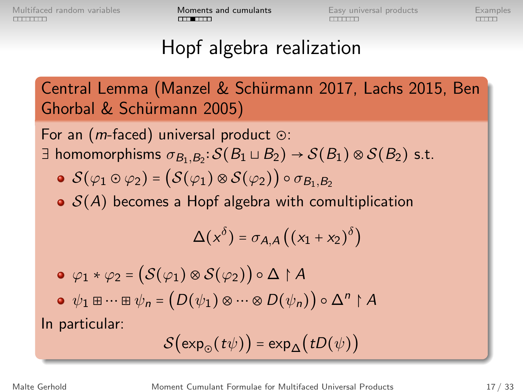# Hopf algebra realization

Central Lemma (Manzel & Schürmann 2017, Lachs 2015, Ben Ghorbal & Schürmann 2005)

For an (m-faced) universal product <sup>⊙</sup>:  $\exists$  homomorphisms  $\sigma_{B_1,B_2}$ :  $\mathcal{S}(B_1 \sqcup B_2) \to \mathcal{S}(B_1) \otimes \mathcal{S}(B_2)$  s.t.

- $\mathcal{S}(\varphi_1 \odot \varphi_2) = (\mathcal{S}(\varphi_1) \otimes \mathcal{S}(\varphi_2)) \circ \sigma_{B_1,B_2}$
- $\bullet$   $S(A)$  becomes a Hopf algebra with comultiplication

$$
\Delta(x^{\delta}) = \sigma_{A,A}\left(\left(x_1 + x_2\right)^{\delta}\right)
$$

$$
\begin{aligned}\n\bullet \varphi_1 * \varphi_2 &= \left( \mathcal{S}(\varphi_1) \otimes \mathcal{S}(\varphi_2) \right) \circ \Delta \upharpoonright A \\
\bullet \psi_1 \boxplus \dots \boxplus \psi_n &= \left( D(\psi_1) \otimes \dots \otimes D(\psi_n) \right) \circ \Delta^n \upharpoonright A\n\end{aligned}
$$

In particular:

$$
S(\exp_{\odot}(t\psi)) = \exp_{\Delta}(tD(\psi))
$$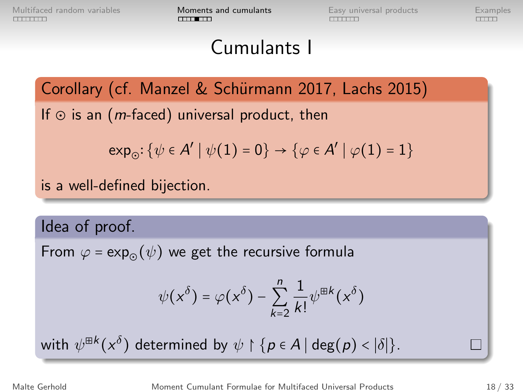# Cumulants I

#### Corollary (cf. Manzel & Schürmann 2017, Lachs 2015)

If  $\odot$  is an (*m*-faced) universal product, then

$$
\text{exp}_{\odot} \colon \{\psi \in A' \mid \psi(1) = 0\} \to \{\varphi \in A' \mid \varphi(1) = 1\}
$$

is a well-defined bijection.

Idea of proof.

From  $\varphi = \exp_{\varphi}(\psi)$  we get the recursive formula

$$
\psi(x^{\delta}) = \varphi(x^{\delta}) - \sum_{k=2}^{n} \frac{1}{k!} \psi^{\boxplus k}(x^{\delta})
$$

with  $\psi^{\boxplus k}(x^{\delta})$  determined by  $\psi \upharpoonright \{p \in A \mid \deg(p) < |\delta|\}.$ 

Malte Gerhold [Moment Cumulant Formulae for Multifaced Universal Products](#page-0-1) 18 / 33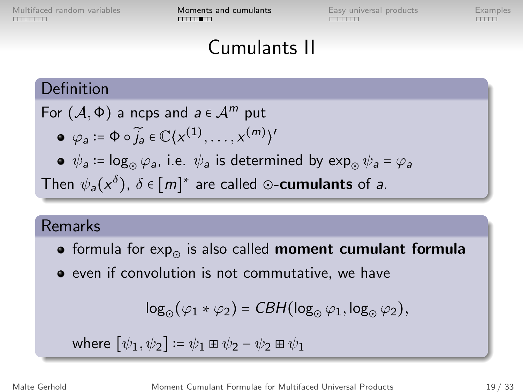[Multifaced random variables](#page-13-0) **[Moments and cumulants](#page-0-0) [Examples](#page-0-0)** Examples<br>
<del>HOMENTIC</del> CONSIDERITY CONSIDERITY CONSIDERITY CONSIDERED CONSIDERED CONSIDERED CONSIDERED CONSIDERED CONSIDERED CONSIDERED CONSIDERED CONSIDERED CON

# Cumulants II

#### Definition

For  $(A, \Phi)$  a ncps and  $a \in \mathcal{A}^m$  put

$$
\bullet \ \varphi_a := \Phi \circ \widetilde{j}_a \in \mathbb{C} \langle x^{(1)}, \ldots, x^{(m)} \rangle'
$$

 $\psi_a \coloneqq \log_\odot \varphi_a$ , i.e.  $\psi_a$  is determined by  $\exp_\odot \psi_a = \varphi_a$ 

Then  $\psi_a(x^{\delta}), \delta \in [m]^*$  are called ⊙-**cumulants** of a.

#### Remarks

- formula for  $exp_{\odot}$  is also called moment cumulant formula
- even if convolution is not commutative, we have

$$
\log_{\odot}(\varphi_1 * \varphi_2) = \mathit{CBH}(\log_{\odot} \varphi_1, \log_{\odot} \varphi_2),
$$

where 
$$
[\psi_1, \psi_2] \coloneqq \psi_1 \boxplus \psi_2 - \psi_2 \boxplus \psi_1
$$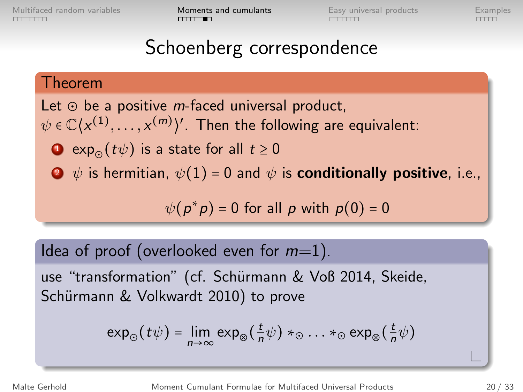[Multifaced random variables](#page-13-0) **[Moments and cumulants](#page-0-0)** [Easy universal products](#page-0-0) [Examples](#page-0-0)<br> **COMPTITY EXAMPLES** 

# Schoenberg correspondence

#### Theorem

Let  $\odot$  be a positive *m*-faced universal product,  $\psi \in \mathbb{C}\langle x^{(1)}, \ldots, x^{(m)}\rangle$ ′ . Then the following are equivalent: **■** exp<sub>⊙</sub>( $t\psi$ ) is a state for all  $t \ge 0$  $\bullet \psi$  is hermitian,  $\psi(1) = 0$  and  $\psi$  is **conditionally positive**, i.e.,

 $\psi(p^*p) = 0$  for all p with  $p(0) = 0$ 

Idea of proof (overlooked even for  $m=1$ ).

use "transformation" (cf. Schürmann & Voß 2014, Skeide, Schürmann & Volkwardt 2010) to prove

$$
\exp_{\odot}(t\psi) = \lim_{n\to\infty}\exp_{\otimes}(\frac{t}{n}\psi)*_{\odot}...*_{\odot}\exp_{\otimes}(\frac{t}{n}\psi)
$$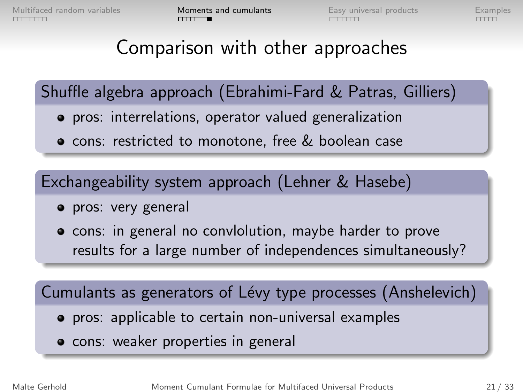# Comparison with other approaches

Shuffle algebra approach (Ebrahimi-Fard & Patras, Gilliers)

- pros: interrelations, operator valued generalization
- **o** cons: restricted to monotone, free & boolean case

Exchangeability system approach (Lehner & Hasebe)

- **•** pros: very general
- **•** cons: in general no conviolution, maybe harder to prove results for a large number of independences simultaneously?

Cumulants as generators of Lévy type processes (Anshelevich)

- **•** pros: applicable to certain non-universal examples
- cons: weaker properties in general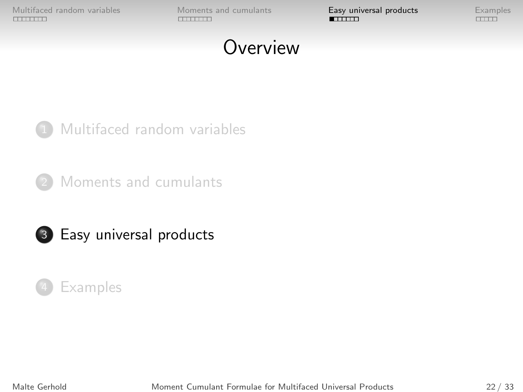[Multifaced random variables](#page-13-0) [Moments and cumulants](#page-0-0) **[Easy universal products](#page-0-0)** [Examples](#page-0-0)<br> **Examples** Examples **Examples** 

# **Overview**

1 [Multifaced random variables](#page-13-0)

[Moments and cumulants](#page-0-0)



3 [Easy universal products](#page-0-0)



Malte Gerhold [Moment Cumulant Formulae for Multifaced Universal Products](#page-0-1) 22 / 33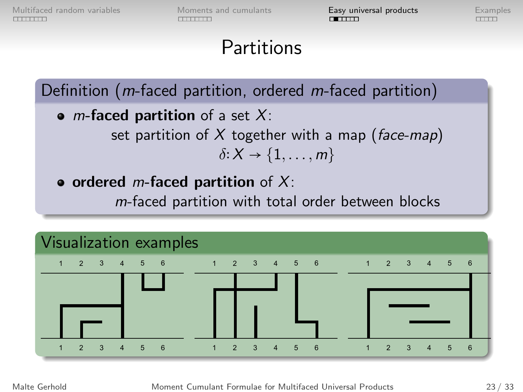# **Partitions**

Definition (m-faced partition, ordered m-faced partition)

- *m*-faced partition of a set  $X$ : set partition of X together with a map (face-map)  $\delta: X \rightarrow \{1, \ldots, m\}$
- ordered *m*-faced partition of  $X$ : m-faced partition with total order between blocks

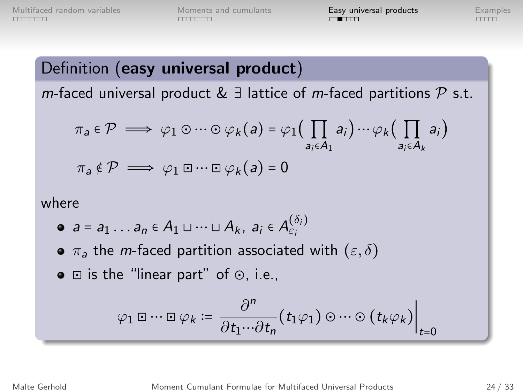#### Definition (easy universal product)

*m*-faced universal product &  $\exists$  lattice of *m*-faced partitions  $P$  s.t.

$$
\pi_a \in \mathcal{P} \implies \varphi_1 \odot \cdots \odot \varphi_k(a) = \varphi_1 \Big( \prod_{a_i \in A_1} a_i \Big) \cdots \varphi_k \Big( \prod_{a_i \in A_k} a_i \Big)
$$

$$
\pi_a \notin \mathcal{P} \implies \varphi_1 \boxdot \cdots \boxdot \varphi_k(a) = 0
$$

where

$$
\bullet \ \ a = a_1 \ldots a_n \in A_1 \sqcup \cdots \sqcup A_k, \ a_i \in A_{\varepsilon_i}^{(\delta_i)}
$$

- $\bullet$   $\pi_a$  the *m*-faced partition associated with  $(\varepsilon, \delta)$
- <sup>⊡</sup> is the "linear part" of <sup>⊙</sup>, i.e.,

$$
\varphi_1 \boxdot \cdots \boxdot \varphi_k \coloneqq \frac{\partial^n}{\partial t_1 \cdots \partial t_n} (t_1 \varphi_1) \odot \cdots \odot (t_k \varphi_k) \Big|_{t=0}
$$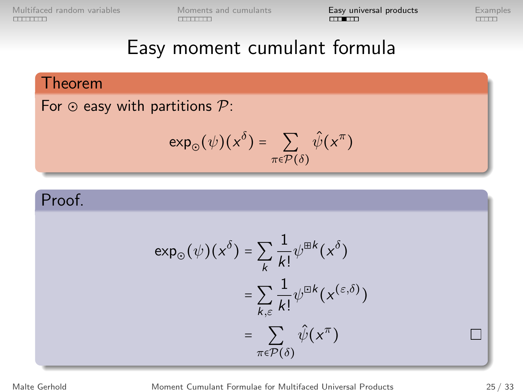[Multifaced random variables](#page-13-0) [Moments and cumulants](#page-0-0) **[Easy universal products](#page-0-0)** [Examples](#page-0-0)<br> **Examples** Examples Examples

### Easy moment cumulant formula

#### Theorem

For  $\odot$  easy with partitions  $\mathcal{P}$ :

$$
\exp_{\odot}(\psi)(x^{\delta}) = \sum_{\pi \in \mathcal{P}(\delta)} \hat{\psi}(x^{\pi})
$$

#### Proof.

$$
\exp_{\odot}(\psi)(x^{\delta}) = \sum_{k} \frac{1}{k!} \psi^{\boxplus k}(x^{\delta})
$$

$$
= \sum_{k,\varepsilon} \frac{1}{k!} \psi^{\boxplus k}(x^{(\varepsilon,\delta)})
$$

$$
= \sum_{\pi \in \mathcal{P}(\delta)} \hat{\psi}(x^{\pi})
$$

Malte Gerhold [Moment Cumulant Formulae for Multifaced Universal Products](#page-0-1) 25 / 33

 $\Box$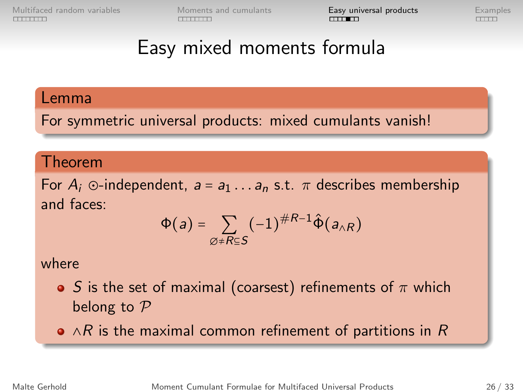[Multifaced random variables](#page-13-0) [Moments and cumulants](#page-0-0) **[Easy universal products](#page-0-0)** [Examples](#page-0-0)<br>
FITTED EXAMPLES EXAMPLES EXAMPLES EXAMPLES EXAMPLES EXAMPLES EXAMPLES EXAMPLES EXAMPLES EXAMPLES EXAMPLES EXAMPLES

# Easy mixed moments formula

#### Lemma

For symmetric universal products: mixed cumulants vanish!

#### Theorem

For  $A_i$  ⊙-independent,  $a = a_1 \ldots a_n$  s.t.  $\pi$  describes membership and faces:

$$
\Phi(a) = \sum_{\varnothing \neq R \subseteq S} (-1)^{\#R-1} \hat{\Phi}(a_{\land R})
$$

#### where

- $\bullet$  S is the set of maximal (coarsest) refinements of  $\pi$  which belong to  $P$
- $\bullet \land R$  is the maximal common refinement of partitions in R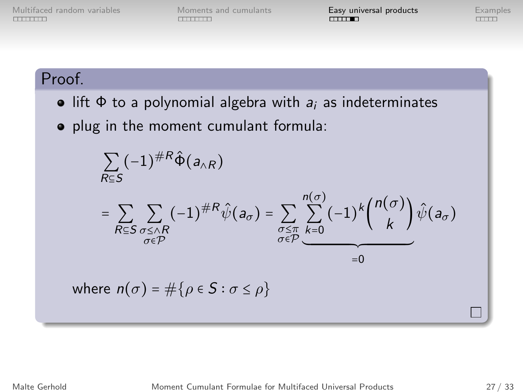[Multifaced random variables](#page-13-0) [Moments and cumulants](#page-0-0) **[Easy universal products](#page-0-0)** [Examples](#page-0-0)<br> **Examples** Examples **Examples** 

#### Proof.

- lift  $\Phi$  to a polynomial algebra with  $a_i$  as indeterminates
- o plug in the moment cumulant formula:

$$
\sum_{R \subseteq S} (-1)^{\#R} \hat{\Phi}(a_{\wedge R})
$$
\n
$$
= \sum_{R \subseteq S} \sum_{\substack{\sigma \le \wedge R \\ \sigma \in \mathcal{P}}} (-1)^{\#R} \hat{\psi}(a_{\sigma}) = \sum_{\substack{\sigma \le \pi \\ \sigma \in \mathcal{P}}} \sum_{k=0}^{n(\sigma)} (-1)^{k} {n(\sigma) \choose k} \hat{\psi}(a_{\sigma})
$$
\nwhere  $n(\sigma) = \#\{\rho \in S : \sigma \le \rho\}$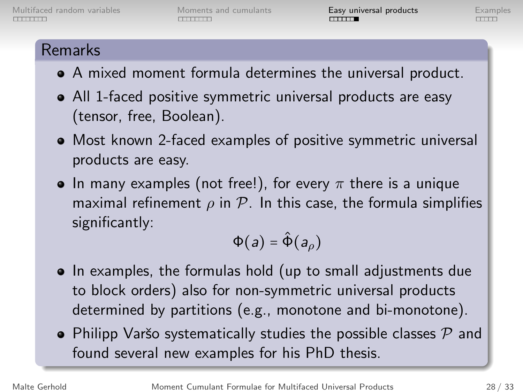#### Remarks

- A mixed moment formula determines the universal product.
- All 1-faced positive symmetric universal products are easy (tensor, free, Boolean).
- Most known 2-faced examples of positive symmetric universal products are easy.
- In many examples (not free!), for every  $\pi$  there is a unique maximal refinement  $\rho$  in  $\mathcal P$ . In this case, the formula simplifies significantly:

$$
\Phi(a) = \hat{\Phi}(a_{\rho})
$$

- In examples, the formulas hold (up to small adjustments due to block orders) also for non-symmetric universal products determined by partitions (e.g., monotone and bi-monotone).
- Philipp Varšo systematically studies the possible classes  $P$  and found several new examples for his PhD thesis.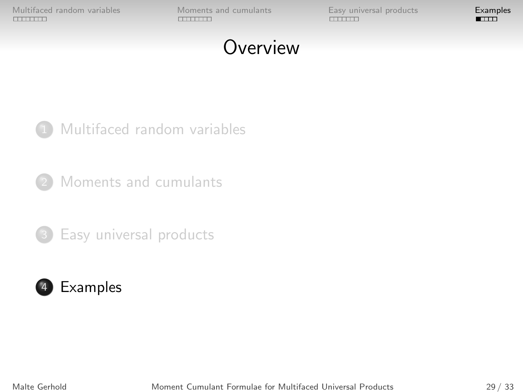[Multifaced random variables](#page-13-0) [Moments and cumulants](#page-0-0) [Easy universal products](#page-0-0) [Examples](#page-0-0)<br>
FITTED EXAMPLES EXAMPLES EXAMPLES EXAMPLES EXAMPLES EXAMPLES EXAMPLES EXAMPLES EXAMPLES EXAMPLES EXAMPLES EXA

# **Overview**



[Moments and cumulants](#page-0-0)



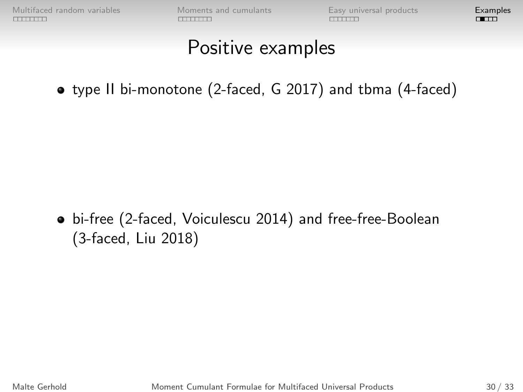### Positive examples

type II bi-monotone (2-faced, G 2017) and tbma (4-faced)

bi-free (2-faced, Voiculescu 2014) and free-free-Boolean (3-faced, Liu 2018)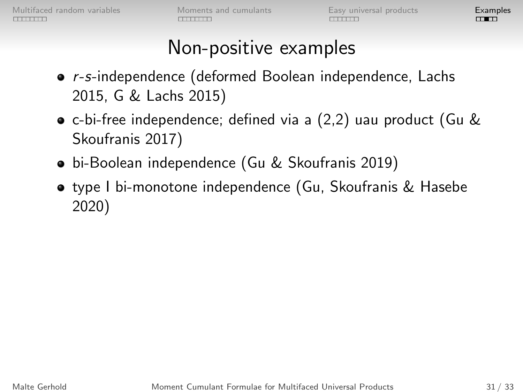# Non-positive examples

- r-s-independence (deformed Boolean independence, Lachs 2015, G & Lachs 2015)
- c-bi-free independence; defined via a (2,2) uau product (Gu & Skoufranis 2017)
- bi-Boolean independence (Gu & Skoufranis 2019)
- type I bi-monotone independence (Gu, Skoufranis & Hasebe 2020)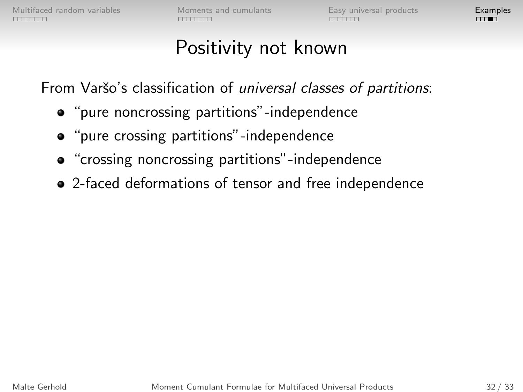# Positivity not known

From Varšo's classification of *universal classes of partitions*:

- "pure noncrossing partitions"-independence
- "pure crossing partitions"-independence
- "crossing noncrossing partitions"-independence
- 2-faced deformations of tensor and free independence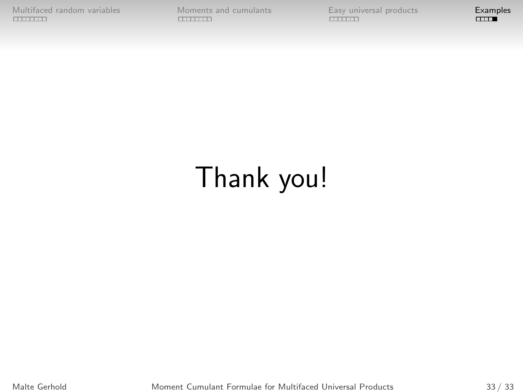[Multifaced random variables](#page-13-0) [Moments and cumulants](#page-0-0) [Examples](#page-0-0)<br>
EXAMPLES EXAMPLES EXAMPLES ENTERTY CONTRACTED CONTRACTED CONTRACTED CONTRACTED CONTRACTED CONTRACTED CONTRACTED

# Thank you!

Malte Gerhold [Moment Cumulant Formulae for Multifaced Universal Products](#page-0-1) 33 / 33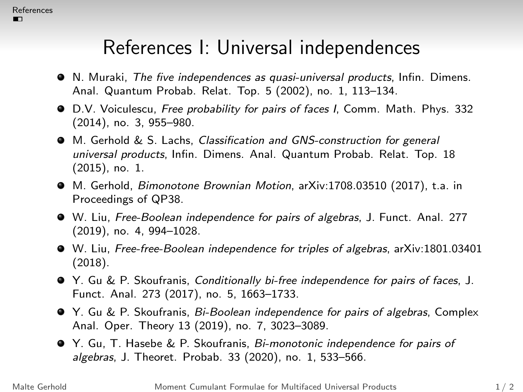# References I: Universal independences

- N. Muraki, The five independences as quasi-universal products, Infin. Dimens. Anal. Quantum Probab. Relat. Top. 5 (2002), no. 1, 113–134.
- D.V. Voiculescu, Free probability for pairs of faces I, Comm. Math. Phys. 332 (2014), no. 3, 955–980.
- M. Gerhold & S. Lachs, Classification and GNS-construction for general universal products, Infin. Dimens. Anal. Quantum Probab. Relat. Top. 18 (2015), no. 1.
- M. Gerhold, Bimonotone Brownian Motion, arXiv:1708.03510 (2017), t.a. in Proceedings of QP38.
- W. Liu, Free-Boolean independence for pairs of algebras, J. Funct. Anal. 277 (2019), no. 4, 994–1028.
- W. Liu, Free-free-Boolean independence for triples of algebras, arXiv:1801.03401 (2018).
- Y. Gu & P. Skoufranis, Conditionally bi-free independence for pairs of faces, J. Funct. Anal. 273 (2017), no. 5, 1663–1733.
- Y. Gu & P. Skoufranis, Bi-Boolean independence for pairs of algebras, Complex Anal. Oper. Theory 13 (2019), no. 7, 3023–3089.
- Y. Gu, T. Hasebe & P. Skoufranis, Bi-monotonic independence for pairs of algebras, J. Theoret. Probab. 33 (2020), no. 1, 533–566.